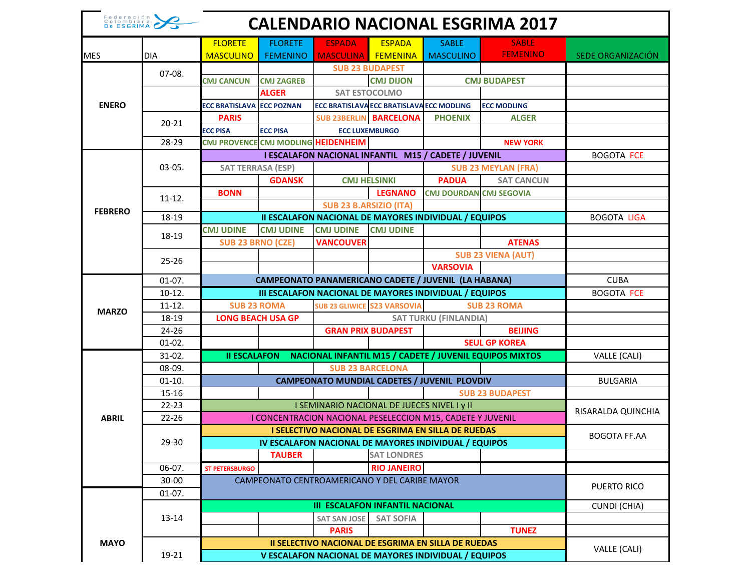| Federación<br>Colombiana<br>De ESGRIMA<br><b>CALENDARIO NACIONAL ESGRIMA 2017</b> |                      |                                                                                                                                          |                                   |                                     |                                                                          |                                                                                |                                                         |                    |
|-----------------------------------------------------------------------------------|----------------------|------------------------------------------------------------------------------------------------------------------------------------------|-----------------------------------|-------------------------------------|--------------------------------------------------------------------------|--------------------------------------------------------------------------------|---------------------------------------------------------|--------------------|
| <b>MES</b>                                                                        | <b>DIA</b>           | <b>FLORETE</b><br><b>MASCULINO</b>                                                                                                       | <b>FLORETE</b><br><b>FEMENINO</b> | <b>ESPADA</b><br>MASCULINA FEMENINA | <b>ESPADA</b>                                                            | <b>SABLE</b><br><b>MASCULINO</b>                                               | <b>SABLE</b><br><b>FEMENINO</b>                         | SEDE ORGANIZACIÓN  |
|                                                                                   | $07-08.$             | <b>CMJ CANCUN</b>                                                                                                                        | <b>CMJ ZAGREB</b>                 |                                     | <b>SUB 23 BUDAPEST</b><br><b>CMJ DIJON</b>                               |                                                                                | <b>CMJ BUDAPEST</b>                                     |                    |
| <b>ENERO</b>                                                                      |                      | <b>ECC BRATISLAVA</b>                                                                                                                    | <b>ALGER</b><br><b>ECC POZNAN</b> |                                     | <b>SAT ESTOCOLMO</b><br><b>ECC BRATISLAVA ECC BRATISLAVA ECC MODLING</b> |                                                                                | <b>ECC MODLING</b>                                      |                    |
|                                                                                   | $20 - 21$            | <b>PARIS</b>                                                                                                                             |                                   |                                     | <b>SUB 23BERLIN BARCELONA</b>                                            | <b>PHOENIX</b>                                                                 | <b>ALGER</b>                                            |                    |
|                                                                                   | 28-29                | <b>ECC PISA</b><br>CMJ PROVENCE CMJ MODLING HEIDENHEIM                                                                                   | <b>ECC PISA</b>                   |                                     | <b>ECC LUXEMBURGO</b>                                                    |                                                                                | <b>NEW YORK</b>                                         |                    |
|                                                                                   | $03-05.$             | I ESCALAFON NACIONAL INFANTIL M15 / CADETE / JUVENIL                                                                                     |                                   |                                     |                                                                          |                                                                                |                                                         | <b>BOGOTA FCE</b>  |
| <b>FEBRERO</b>                                                                    |                      | <b>SAT TERRASA (ESP)</b>                                                                                                                 | <b>GDANSK</b>                     |                                     | <b>CMJ HELSINKI</b>                                                      | <b>PADUA</b>                                                                   | <b>SUB 23 MEYLAN (FRA)</b><br><b>SAT CANCUN</b>         |                    |
|                                                                                   | $11 - 12.$           | <b>BONN</b>                                                                                                                              |                                   |                                     | <b>LEGNANO</b>                                                           | <b>CMJ DOURDAN CMJ SEGOVIA</b>                                                 |                                                         |                    |
|                                                                                   | 18-19                | <b>SUB 23 B.ARSIZIO (ITA)</b><br><b>II ESCALAFON NACIONAL DE MAYORES INDIVIDUAL / EQUIPOS</b>                                            |                                   |                                     |                                                                          |                                                                                |                                                         | <b>BOGOTA LIGA</b> |
|                                                                                   |                      | <b>CMJ UDINE</b>                                                                                                                         | <b>CMJ UDINE</b>                  | <b>CMJ UDINE</b>                    | <b>CMJ UDINE</b>                                                         |                                                                                |                                                         |                    |
|                                                                                   | 18-19                | <b>SUB 23 BRNO (CZE)</b>                                                                                                                 |                                   | <b>VANCOUVER</b>                    |                                                                          |                                                                                | <b>ATENAS</b>                                           |                    |
|                                                                                   | $25 - 26$            |                                                                                                                                          |                                   |                                     |                                                                          |                                                                                | <b>SUB 23 VIENA (AUT)</b>                               |                    |
|                                                                                   |                      |                                                                                                                                          |                                   |                                     |                                                                          | <b>VARSOVIA</b><br><b>CAMPEONATO PANAMERICANO CADETE / JUVENIL (LA HABANA)</b> |                                                         | <b>CUBA</b>        |
|                                                                                   | $01-07.$<br>$10-12.$ |                                                                                                                                          | <b>BOGOTA FCE</b>                 |                                     |                                                                          |                                                                                |                                                         |                    |
|                                                                                   | $11-12.$             | III ESCALAFON NACIONAL DE MAYORES INDIVIDUAL / EQUIPOS<br><b>SUB 23 GLIWICE S23 VARSOVIA</b><br><b>SUB 23 ROMA</b><br><b>SUB 23 ROMA</b> |                                   |                                     |                                                                          |                                                                                |                                                         |                    |
| <b>MARZO</b>                                                                      | 18-19                | <b>LONG BEACH USA GP</b>                                                                                                                 | <b>SAT TURKU (FINLANDIA)</b>      |                                     |                                                                          |                                                                                |                                                         |                    |
|                                                                                   | $24 - 26$            |                                                                                                                                          |                                   |                                     | <b>GRAN PRIX BUDAPEST</b>                                                |                                                                                | <b>BEIJING</b>                                          |                    |
|                                                                                   | $01-02.$             |                                                                                                                                          |                                   |                                     |                                                                          |                                                                                | <b>SEUL GP KOREA</b>                                    |                    |
|                                                                                   | $31-02.$             | <b>II ESCALAFON</b>                                                                                                                      |                                   |                                     |                                                                          |                                                                                | NACIONAL INFANTIL M15 / CADETE / JUVENIL EQUIPOS MIXTOS | VALLE (CALI)       |
|                                                                                   | 08-09.               | <b>SUB 23 BARCELONA</b>                                                                                                                  |                                   |                                     |                                                                          |                                                                                |                                                         |                    |
|                                                                                   | $01-10.$             | <b>CAMPEONATO MUNDIAL CADETES / JUVENIL PLOVDIV</b>                                                                                      |                                   |                                     |                                                                          |                                                                                |                                                         | <b>BULGARIA</b>    |
|                                                                                   | $15 - 16$            | <b>SUB 23 BUDAPEST</b><br>I SEMINARIO NACIONAL DE JUECES NIVEL I y II                                                                    |                                   |                                     |                                                                          |                                                                                |                                                         |                    |
|                                                                                   | $22 - 23$            |                                                                                                                                          | RISARALDA QUINCHIA                |                                     |                                                                          |                                                                                |                                                         |                    |
| <b>ABRIL</b>                                                                      | $22 - 26$            | I CONCENTRACION NACIONAL PESELECCION M15, CADETE Y JUVENIL                                                                               | <b>BOGOTA FF.AA</b>               |                                     |                                                                          |                                                                                |                                                         |                    |
|                                                                                   | 29-30                |                                                                                                                                          |                                   |                                     |                                                                          |                                                                                |                                                         |                    |
|                                                                                   |                      |                                                                                                                                          | <b>TAUBER</b>                     |                                     | <b>SAT LONDRES</b>                                                       | IV ESCALAFON NACIONAL DE MAYORES INDIVIDUAL / EQUIPOS                          |                                                         |                    |
|                                                                                   | 06-07.               | <b>ST PETERSBURGO</b>                                                                                                                    |                                   |                                     | <b>RIO JANEIRO</b>                                                       |                                                                                |                                                         |                    |
|                                                                                   | $30 - 00$            | CAMPEONATO CENTROAMERICANO Y DEL CARIBE MAYOR                                                                                            |                                   |                                     |                                                                          |                                                                                |                                                         |                    |
|                                                                                   | $01-07.$             |                                                                                                                                          | <b>PUERTO RICO</b>                |                                     |                                                                          |                                                                                |                                                         |                    |
|                                                                                   |                      | <b>III ESCALAFON INFANTIL NACIONAL</b>                                                                                                   |                                   |                                     |                                                                          |                                                                                |                                                         | CUNDI (CHIA)       |
|                                                                                   | 13-14                |                                                                                                                                          |                                   | <b>SAT SAN JOSE</b>                 | <b>SAT SOFIA</b>                                                         |                                                                                |                                                         |                    |
|                                                                                   |                      |                                                                                                                                          |                                   | <b>PARIS</b>                        |                                                                          |                                                                                | <b>TUNEZ</b>                                            |                    |
| <b>MAYO</b>                                                                       | 19-21                | II SELECTIVO NACIONAL DE ESGRIMA EN SILLA DE RUEDAS<br>V ESCALAFON NACIONAL DE MAYORES INDIVIDUAL / EQUIPOS                              |                                   |                                     |                                                                          |                                                                                |                                                         | VALLE (CALI)       |
|                                                                                   |                      |                                                                                                                                          |                                   |                                     |                                                                          |                                                                                |                                                         |                    |